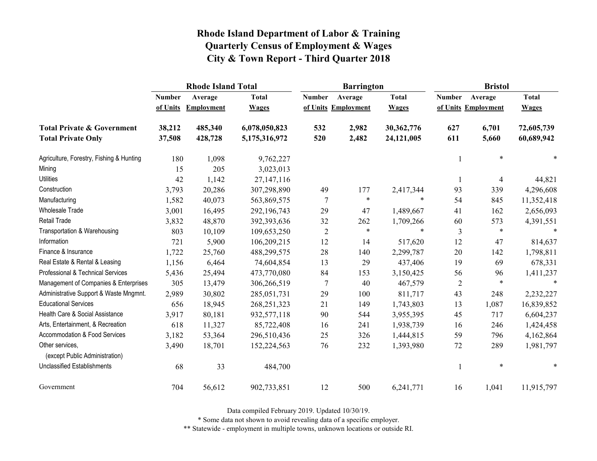|                                                   |               | <b>Rhode Island Total</b> |               |                     | <b>Barrington</b> |              | <b>Bristol</b> |                     |              |
|---------------------------------------------------|---------------|---------------------------|---------------|---------------------|-------------------|--------------|----------------|---------------------|--------------|
|                                                   | <b>Number</b> | Average                   | <b>Total</b>  | <b>Number</b>       | Average           | <b>Total</b> | <b>Number</b>  | Average             | <b>Total</b> |
|                                                   | of Units      | Employment                | <b>Wages</b>  | of Units Employment |                   | <b>Wages</b> |                | of Units Employment | <b>Wages</b> |
| <b>Total Private &amp; Government</b>             | 38,212        | 485,340                   | 6,078,050,823 | 532                 | 2,982             | 30,362,776   | 627            | 6,701               | 72,605,739   |
| <b>Total Private Only</b>                         | 37,508        | 428,728                   | 5,175,316,972 | 520                 | 2,482             | 24,121,005   | 611            | 5,660               | 60,689,942   |
| Agriculture, Forestry, Fishing & Hunting          | 180           | 1,098                     | 9,762,227     |                     |                   |              |                | $\ast$              |              |
| Mining                                            | 15            | 205                       | 3,023,013     |                     |                   |              |                |                     |              |
| <b>Utilities</b>                                  | 42            | 1,142                     | 27, 147, 116  |                     |                   |              |                | $\overline{4}$      | 44,821       |
| Construction                                      | 3,793         | 20,286                    | 307,298,890   | 49                  | 177               | 2,417,344    | 93             | 339                 | 4,296,608    |
| Manufacturing                                     | 1,582         | 40,073                    | 563,869,575   | 7                   | $\ast$            | $\ast$       | 54             | 845                 | 11,352,418   |
| Wholesale Trade                                   | 3,001         | 16,495                    | 292,196,743   | 29                  | 47                | 1,489,667    | 41             | 162                 | 2,656,093    |
| Retail Trade                                      | 3,832         | 48,870                    | 392,393,636   | 32                  | 262               | 1,709,266    | 60             | 573                 | 4,391,551    |
| Transportation & Warehousing                      | 803           | 10,109                    | 109,653,250   | $\sqrt{2}$          | $\ast$            | $\ast$       | 3              | $\ast$              | $\ast$       |
| Information                                       | 721           | 5,900                     | 106,209,215   | 12                  | 14                | 517,620      | 12             | 47                  | 814,637      |
| Finance & Insurance                               | 1,722         | 25,760                    | 488,299,575   | 28                  | 140               | 2,299,787    | 20             | 142                 | 1,798,811    |
| Real Estate & Rental & Leasing                    | 1,156         | 6,464                     | 74,604,854    | 13                  | 29                | 437,406      | 19             | 69                  | 678,331      |
| Professional & Technical Services                 | 5,436         | 25,494                    | 473,770,080   | 84                  | 153               | 3,150,425    | 56             | 96                  | 1,411,237    |
| Management of Companies & Enterprises             | 305           | 13,479                    | 306,266,519   | $\overline{7}$      | 40                | 467,579      | $\overline{2}$ | $\ast$              | $\ast$       |
| Administrative Support & Waste Mngmnt.            | 2,989         | 30,802                    | 285,051,731   | 29                  | 100               | 811,717      | 43             | 248                 | 2,232,227    |
| <b>Educational Services</b>                       | 656           | 18,945                    | 268, 251, 323 | 21                  | 149               | 1,743,803    | 13             | 1,087               | 16,839,852   |
| Health Care & Social Assistance                   | 3,917         | 80,181                    | 932,577,118   | 90                  | 544               | 3,955,395    | 45             | 717                 | 6,604,237    |
| Arts, Entertainment, & Recreation                 | 618           | 11,327                    | 85,722,408    | 16                  | 241               | 1,938,739    | 16             | 246                 | 1,424,458    |
| Accommodation & Food Services                     | 3,182         | 53,364                    | 296,510,436   | 25                  | 326               | 1,444,815    | 59             | 796                 | 4,162,864    |
| Other services,<br>(except Public Administration) | 3,490         | 18,701                    | 152,224,563   | 76                  | 232               | 1,393,980    | 72             | 289                 | 1,981,797    |
| <b>Unclassified Establishments</b>                | 68            | 33                        | 484,700       |                     |                   |              |                | $\ast$              | $\ast$       |
| Government                                        | 704           | 56,612                    | 902,733,851   | 12                  | 500               | 6,241,771    | 16             | 1,041               | 11,915,797   |

Data compiled February 2019. Updated 10/30/19.

\* Some data not shown to avoid revealing data of a specific employer.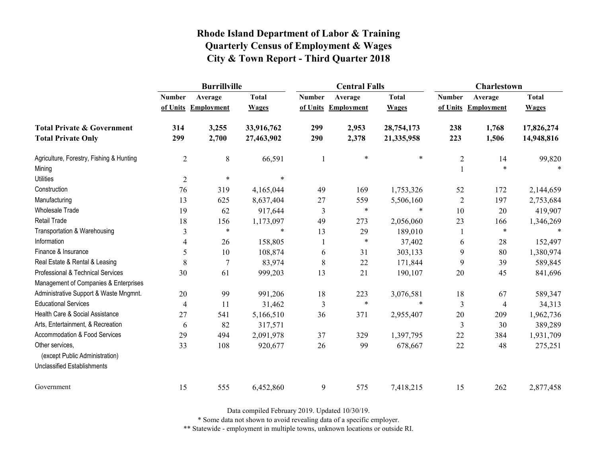|                                          | <b>Burrillville</b> |                     |              |               | <b>Central Falls</b> |              | Charlestown    |                     |              |
|------------------------------------------|---------------------|---------------------|--------------|---------------|----------------------|--------------|----------------|---------------------|--------------|
|                                          | <b>Number</b>       | Average             | <b>Total</b> | <b>Number</b> | Average              | <b>Total</b> | <b>Number</b>  | Average             | <b>Total</b> |
|                                          |                     | of Units Employment | <b>Wages</b> |               | of Units Employment  | <b>Wages</b> |                | of Units Employment | <b>Wages</b> |
| <b>Total Private &amp; Government</b>    | 314                 | 3,255               | 33,916,762   | 299           | 2,953                | 28,754,173   | 238            | 1,768               | 17,826,274   |
| <b>Total Private Only</b>                | 299                 | 2,700               | 27,463,902   | 290           | 2,378                | 21,335,958   | 223            | 1,506               | 14,948,816   |
| Agriculture, Forestry, Fishing & Hunting | $\overline{2}$      | 8                   | 66,591       | 1             | *                    | $\ast$       | $\overline{2}$ | 14                  | 99,820       |
| Mining                                   |                     |                     |              |               |                      |              | $\mathbf{1}$   | $\ast$              |              |
| <b>Utilities</b>                         | $\sqrt{2}$          | $\ast$              | $\ast$       |               |                      |              |                |                     |              |
| Construction                             | 76                  | 319                 | 4,165,044    | 49            | 169                  | 1,753,326    | 52             | 172                 | 2,144,659    |
| Manufacturing                            | 13                  | 625                 | 8,637,404    | 27            | 559                  | 5,506,160    | $\overline{2}$ | 197                 | 2,753,684    |
| <b>Wholesale Trade</b>                   | 19                  | 62                  | 917,644      | 3             | $\ast$               | $\ast$       | 10             | 20                  | 419,907      |
| Retail Trade                             | 18                  | 156                 | 1,173,097    | 49            | 273                  | 2,056,060    | 23             | 166                 | 1,346,269    |
| Transportation & Warehousing             | 3                   | $\ast$              | $\ast$       | 13            | 29                   | 189,010      | $\mathbf{1}$   | $\ast$              | $\ast$       |
| Information                              | 4                   | 26                  | 158,805      | -1            | $\ast$               | 37,402       | 6              | 28                  | 152,497      |
| Finance & Insurance                      | 5                   | 10                  | 108,874      | 6             | 31                   | 303,133      | 9              | 80                  | 1,380,974    |
| Real Estate & Rental & Leasing           | 8                   | 7                   | 83,974       | 8             | 22                   | 171,844      | 9              | 39                  | 589,845      |
| Professional & Technical Services        | 30                  | 61                  | 999,203      | 13            | 21                   | 190,107      | 20             | 45                  | 841,696      |
| Management of Companies & Enterprises    |                     |                     |              |               |                      |              |                |                     |              |
| Administrative Support & Waste Mngmnt.   | 20                  | 99                  | 991,206      | 18            | 223                  | 3,076,581    | 18             | 67                  | 589,347      |
| <b>Educational Services</b>              | $\overline{4}$      | 11                  | 31,462       | 3             | $\ast$               | $\ast$       | 3              | 4                   | 34,313       |
| Health Care & Social Assistance          | 27                  | 541                 | 5,166,510    | 36            | 371                  | 2,955,407    | 20             | 209                 | 1,962,736    |
| Arts, Entertainment, & Recreation        | 6                   | 82                  | 317,571      |               |                      |              | 3              | 30                  | 389,289      |
| Accommodation & Food Services            | 29                  | 494                 | 2,091,978    | 37            | 329                  | 1,397,795    | 22             | 384                 | 1,931,709    |
| Other services.                          | 33                  | 108                 | 920,677      | 26            | 99                   | 678,667      | 22             | 48                  | 275,251      |
| (except Public Administration)           |                     |                     |              |               |                      |              |                |                     |              |
| Unclassified Establishments              |                     |                     |              |               |                      |              |                |                     |              |
| Government                               | 15                  | 555                 | 6,452,860    | 9             | 575                  | 7,418,215    | 15             | 262                 | 2,877,458    |

Data compiled February 2019. Updated 10/30/19.

\* Some data not shown to avoid revealing data of a specific employer.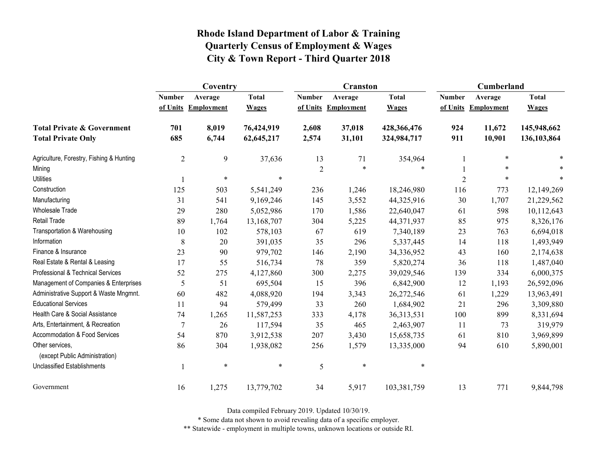|                                                   | Coventry       |                     |              |                | <b>Cranston</b>     |              | Cumberland     |                     |              |
|---------------------------------------------------|----------------|---------------------|--------------|----------------|---------------------|--------------|----------------|---------------------|--------------|
|                                                   | <b>Number</b>  | Average             | <b>Total</b> | <b>Number</b>  | Average             | <b>Total</b> | <b>Number</b>  | Average             | <b>Total</b> |
|                                                   |                | of Units Employment | <b>Wages</b> |                | of Units Employment | <b>Wages</b> |                | of Units Employment | <b>Wages</b> |
| <b>Total Private &amp; Government</b>             | 701            | 8,019               | 76,424,919   | 2,608          | 37,018              | 428,366,476  | 924            | 11,672              | 145,948,662  |
| <b>Total Private Only</b>                         | 685            | 6,744               | 62,645,217   | 2,574          | 31,101              | 324,984,717  | 911            | 10,901              | 136,103,864  |
| Agriculture, Forestry, Fishing & Hunting          | $\overline{2}$ | 9                   | 37,636       | 13             | 71                  | 354,964      | 1              | $\ast$              |              |
| Mining                                            |                |                     |              | $\overline{2}$ | $\ast$              | *            |                | $\ast$              |              |
| <b>Utilities</b>                                  |                | $\ast$              | $\ast$       |                |                     |              | $\overline{2}$ | $\ast$              |              |
| Construction                                      | 125            | 503                 | 5,541,249    | 236            | 1,246               | 18,246,980   | 116            | 773                 | 12,149,269   |
| Manufacturing                                     | 31             | 541                 | 9,169,246    | 145            | 3,552               | 44,325,916   | 30             | 1,707               | 21,229,562   |
| <b>Wholesale Trade</b>                            | 29             | 280                 | 5,052,986    | 170            | 1,586               | 22,640,047   | 61             | 598                 | 10,112,643   |
| <b>Retail Trade</b>                               | 89             | 1,764               | 13,168,707   | 304            | 5,225               | 44,371,937   | 85             | 975                 | 8,326,176    |
| Transportation & Warehousing                      | 10             | 102                 | 578,103      | 67             | 619                 | 7,340,189    | 23             | 763                 | 6,694,018    |
| Information                                       | 8              | 20                  | 391,035      | 35             | 296                 | 5,337,445    | 14             | 118                 | 1,493,949    |
| Finance & Insurance                               | 23             | 90                  | 979,702      | 146            | 2,190               | 34,336,952   | 43             | 160                 | 2,174,638    |
| Real Estate & Rental & Leasing                    | 17             | 55                  | 516,734      | 78             | 359                 | 5,820,274    | 36             | 118                 | 1,487,040    |
| Professional & Technical Services                 | 52             | 275                 | 4,127,860    | 300            | 2,275               | 39,029,546   | 139            | 334                 | 6,000,375    |
| Management of Companies & Enterprises             | 5              | 51                  | 695,504      | 15             | 396                 | 6,842,900    | 12             | 1,193               | 26,592,096   |
| Administrative Support & Waste Mngmnt.            | 60             | 482                 | 4,088,920    | 194            | 3,343               | 26,272,546   | 61             | 1,229               | 13,963,491   |
| <b>Educational Services</b>                       | 11             | 94                  | 579,499      | 33             | 260                 | 1,684,902    | 21             | 296                 | 3,309,880    |
| Health Care & Social Assistance                   | 74             | 1,265               | 11,587,253   | 333            | 4,178               | 36,313,531   | 100            | 899                 | 8,331,694    |
| Arts, Entertainment, & Recreation                 | $\overline{7}$ | 26                  | 117,594      | 35             | 465                 | 2,463,907    | 11             | 73                  | 319,979      |
| Accommodation & Food Services                     | 54             | 870                 | 3,912,538    | 207            | 3,430               | 15,658,735   | 61             | 810                 | 3,969,899    |
| Other services,<br>(except Public Administration) | 86             | 304                 | 1,938,082    | 256            | 1,579               | 13,335,000   | 94             | 610                 | 5,890,001    |
| <b>Unclassified Establishments</b>                |                | $\ast$              | $\ast$       | 5              | $\ast$              | $\ast$       |                |                     |              |
| Government                                        | 16             | 1,275               | 13,779,702   | 34             | 5,917               | 103,381,759  | 13             | 771                 | 9,844,798    |

Data compiled February 2019. Updated 10/30/19.

\* Some data not shown to avoid revealing data of a specific employer.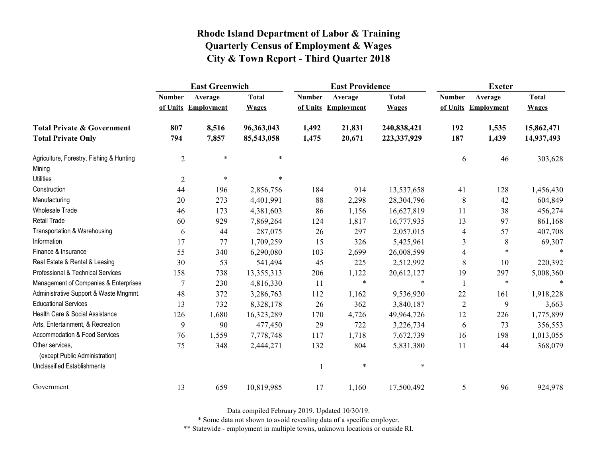|                                                   | <b>East Greenwich</b> |                     |              |               | <b>East Providence</b> |              | <b>Exeter</b>  |                     |              |
|---------------------------------------------------|-----------------------|---------------------|--------------|---------------|------------------------|--------------|----------------|---------------------|--------------|
|                                                   | <b>Number</b>         | Average             | <b>Total</b> | <b>Number</b> | Average                | <b>Total</b> | <b>Number</b>  | Average             | <b>Total</b> |
|                                                   |                       | of Units Employment | <b>Wages</b> |               | of Units Employment    | <b>Wages</b> |                | of Units Employment | <b>Wages</b> |
| <b>Total Private &amp; Government</b>             | 807                   | 8,516               | 96,363,043   | 1,492         | 21,831                 | 240,838,421  | 192            | 1,535               | 15,862,471   |
| <b>Total Private Only</b>                         | 794                   | 7,857               | 85,543,058   | 1,475         | 20,671                 | 223,337,929  | 187            | 1,439               | 14,937,493   |
| Agriculture, Forestry, Fishing & Hunting          | $\overline{2}$        | $\ast$              | $\ast$       |               |                        |              | 6              | 46                  | 303,628      |
| Mining                                            |                       |                     |              |               |                        |              |                |                     |              |
| <b>Utilities</b>                                  | $\overline{2}$        | $\ast$              | $\ast$       |               |                        |              |                |                     |              |
| Construction                                      | 44                    | 196                 | 2,856,756    | 184           | 914                    | 13,537,658   | 41             | 128                 | 1,456,430    |
| Manufacturing                                     | 20                    | 273                 | 4,401,991    | 88            | 2,298                  | 28,304,796   | $8\,$          | 42                  | 604,849      |
| <b>Wholesale Trade</b>                            | 46                    | 173                 | 4,381,603    | 86            | 1,156                  | 16,627,819   | 11             | 38                  | 456,274      |
| Retail Trade                                      | 60                    | 929                 | 7,869,264    | 124           | 1,817                  | 16,777,935   | 13             | 97                  | 861,168      |
| Transportation & Warehousing                      | 6                     | 44                  | 287,075      | 26            | 297                    | 2,057,015    | $\overline{4}$ | 57                  | 407,708      |
| Information                                       | 17                    | 77                  | 1,709,259    | 15            | 326                    | 5,425,961    | 3              | 8                   | 69,307       |
| Finance & Insurance                               | 55                    | 340                 | 6,290,080    | 103           | 2,699                  | 26,008,599   | $\overline{4}$ | $\ast$              |              |
| Real Estate & Rental & Leasing                    | 30                    | 53                  | 541,494      | 45            | 225                    | 2,512,992    | 8              | 10                  | 220,392      |
| Professional & Technical Services                 | 158                   | 738                 | 13,355,313   | 206           | 1,122                  | 20,612,127   | 19             | 297                 | 5,008,360    |
| Management of Companies & Enterprises             | $\overline{7}$        | 230                 | 4,816,330    | 11            | $\ast$                 | $\ast$       |                | $\ast$              | $\ast$       |
| Administrative Support & Waste Mngmnt.            | 48                    | 372                 | 3,286,763    | 112           | 1,162                  | 9,536,920    | 22             | 161                 | 1,918,228    |
| <b>Educational Services</b>                       | 13                    | 732                 | 8,328,178    | 26            | 362                    | 3,840,187    | $\sqrt{2}$     | 9                   | 3,663        |
| Health Care & Social Assistance                   | 126                   | 1,680               | 16,323,289   | 170           | 4,726                  | 49,964,726   | 12             | 226                 | 1,775,899    |
| Arts, Entertainment, & Recreation                 | 9                     | 90                  | 477,450      | 29            | 722                    | 3,226,734    | 6              | 73                  | 356,553      |
| Accommodation & Food Services                     | 76                    | 1,559               | 7,778,748    | 117           | 1,718                  | 7,672,739    | 16             | 198                 | 1,013,055    |
| Other services.<br>(except Public Administration) | 75                    | 348                 | 2,444,271    | 132           | 804                    | 5,831,380    | 11             | 44                  | 368,079      |
| <b>Unclassified Establishments</b>                |                       |                     |              | 1             | $\ast$                 | $\ast$       |                |                     |              |
| Government                                        | 13                    | 659                 | 10,819,985   | 17            | 1,160                  | 17,500,492   | 5              | 96                  | 924,978      |

Data compiled February 2019. Updated 10/30/19.

\* Some data not shown to avoid revealing data of a specific employer.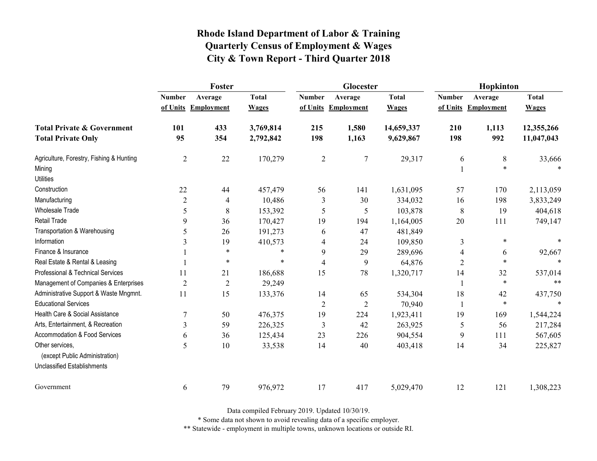|                                          | Foster         |                     |              |                | Glocester           |              | Hopkinton      |                     |              |
|------------------------------------------|----------------|---------------------|--------------|----------------|---------------------|--------------|----------------|---------------------|--------------|
|                                          | <b>Number</b>  | Average             | <b>Total</b> | <b>Number</b>  | Average             | <b>Total</b> | <b>Number</b>  | Average             | <b>Total</b> |
|                                          |                | of Units Employment | <b>Wages</b> |                | of Units Employment | <b>Wages</b> |                | of Units Employment | <b>Wages</b> |
| <b>Total Private &amp; Government</b>    | 101            | 433                 | 3,769,814    | 215            | 1,580               | 14,659,337   | 210            | 1,113               | 12,355,266   |
| <b>Total Private Only</b>                | 95             | 354                 | 2,792,842    | 198            | 1,163               | 9,629,867    | 198            | 992                 | 11,047,043   |
| Agriculture, Forestry, Fishing & Hunting | $\overline{2}$ | 22                  | 170,279      | $\overline{2}$ | $\overline{7}$      | 29,317       | 6              | $8\phantom{1}$      | 33,666       |
| Mining                                   |                |                     |              |                |                     |              | 1              | $\ast$              |              |
| <b>Utilities</b>                         |                |                     |              |                |                     |              |                |                     |              |
| Construction                             | 22             | 44                  | 457,479      | 56             | 141                 | 1,631,095    | 57             | 170                 | 2,113,059    |
| Manufacturing                            | $\overline{2}$ | 4                   | 10,486       | 3              | 30                  | 334,032      | 16             | 198                 | 3,833,249    |
| Wholesale Trade                          | 5              | 8                   | 153,392      | 5              | 5                   | 103,878      | 8              | 19                  | 404,618      |
| Retail Trade                             | 9              | 36                  | 170,427      | 19             | 194                 | 1,164,005    | 20             | 111                 | 749,147      |
| Transportation & Warehousing             | 5              | 26                  | 191,273      | 6              | 47                  | 481,849      |                |                     |              |
| Information                              | 3              | 19                  | 410,573      | 4              | 24                  | 109,850      | 3              | $\ast$              |              |
| Finance & Insurance                      |                | $\ast$              | $\ast$       | 9              | 29                  | 289,696      | 4              | 6                   | 92,667       |
| Real Estate & Rental & Leasing           |                | $\ast$              | $\ast$       | $\overline{4}$ | 9                   | 64,876       | $\overline{2}$ | $\ast$              |              |
| Professional & Technical Services        | 11             | 21                  | 186,688      | 15             | 78                  | 1,320,717    | 14             | 32                  | 537,014      |
| Management of Companies & Enterprises    | $\overline{2}$ | $\mathbf{2}$        | 29,249       |                |                     |              | 1              | $\ast$              | $**$         |
| Administrative Support & Waste Mngmnt.   | 11             | 15                  | 133,376      | 14             | 65                  | 534,304      | 18             | 42                  | 437,750      |
| <b>Educational Services</b>              |                |                     |              | $\overline{2}$ | $\overline{2}$      | 70,940       | 1              | $\ast$              |              |
| Health Care & Social Assistance          | 7              | 50                  | 476,375      | 19             | 224                 | 1,923,411    | 19             | 169                 | 1,544,224    |
| Arts, Entertainment, & Recreation        | 3              | 59                  | 226,325      | 3              | 42                  | 263,925      | 5              | 56                  | 217,284      |
| Accommodation & Food Services            | 6              | 36                  | 125,434      | 23             | 226                 | 904,554      | 9              | 111                 | 567,605      |
| Other services.                          | 5              | 10                  | 33,538       | 14             | 40                  | 403,418      | 14             | 34                  | 225,827      |
| (except Public Administration)           |                |                     |              |                |                     |              |                |                     |              |
| <b>Unclassified Establishments</b>       |                |                     |              |                |                     |              |                |                     |              |
| Government                               | 6              | 79                  | 976,972      | 17             | 417                 | 5,029,470    | 12             | 121                 | 1,308,223    |

Data compiled February 2019. Updated 10/30/19.

\* Some data not shown to avoid revealing data of a specific employer.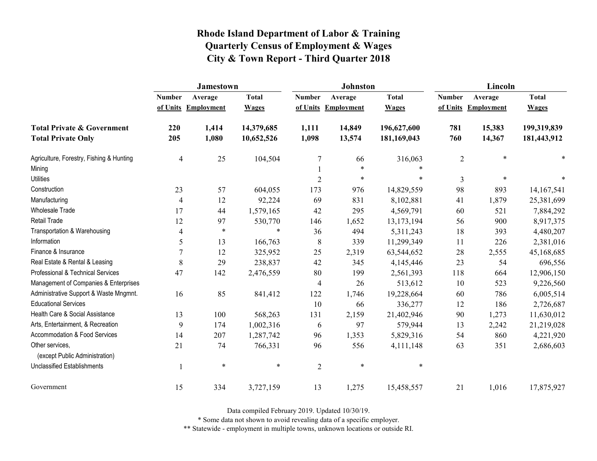|                                                   | <b>Jamestown</b> |                     |              |                | <b>Johnston</b>     |              | Lincoln        |                     |              |
|---------------------------------------------------|------------------|---------------------|--------------|----------------|---------------------|--------------|----------------|---------------------|--------------|
|                                                   | <b>Number</b>    | Average             | <b>Total</b> | <b>Number</b>  | Average             | <b>Total</b> | <b>Number</b>  | Average             | <b>Total</b> |
|                                                   |                  | of Units Employment | <b>Wages</b> |                | of Units Employment | <b>Wages</b> |                | of Units Employment | <b>Wages</b> |
| <b>Total Private &amp; Government</b>             | 220              | 1,414               | 14,379,685   | 1,111          | 14,849              | 196,627,600  | 781            | 15,383              | 199,319,839  |
| <b>Total Private Only</b>                         | 205              | 1,080               | 10,652,526   | 1,098          | 13,574              | 181,169,043  | 760            | 14,367              | 181,443,912  |
| Agriculture, Forestry, Fishing & Hunting          | $\overline{4}$   | 25                  | 104,504      | $\tau$         | 66                  | 316,063      | $\overline{2}$ | $\ast$              |              |
| Mining                                            |                  |                     |              |                | $\ast$              | $\ast$       |                |                     |              |
| <b>Utilities</b>                                  |                  |                     |              | $\overline{2}$ | $\ast$              | $\ast$       | $\overline{3}$ | $\ast$              |              |
| Construction                                      | 23               | 57                  | 604,055      | 173            | 976                 | 14,829,559   | 98             | 893                 | 14, 167, 541 |
| Manufacturing                                     | 4                | 12                  | 92,224       | 69             | 831                 | 8,102,881    | 41             | 1,879               | 25,381,699   |
| <b>Wholesale Trade</b>                            | 17               | 44                  | 1,579,165    | 42             | 295                 | 4,569,791    | 60             | 521                 | 7,884,292    |
| Retail Trade                                      | 12               | 97                  | 530,770      | 146            | 1,652               | 13,173,194   | 56             | 900                 | 8,917,375    |
| Transportation & Warehousing                      | 4                | $\ast$              | $\ast$       | 36             | 494                 | 5,311,243    | 18             | 393                 | 4,480,207    |
| Information                                       | 5                | 13                  | 166,763      | 8              | 339                 | 11,299,349   | 11             | 226                 | 2,381,016    |
| Finance & Insurance                               | 7                | 12                  | 325,952      | 25             | 2,319               | 63,544,652   | $28\,$         | 2,555               | 45,168,685   |
| Real Estate & Rental & Leasing                    | 8                | 29                  | 238,837      | 42             | 345                 | 4,145,446    | 23             | 54                  | 696,556      |
| Professional & Technical Services                 | 47               | 142                 | 2,476,559    | 80             | 199                 | 2,561,393    | 118            | 664                 | 12,906,150   |
| Management of Companies & Enterprises             |                  |                     |              | $\overline{4}$ | 26                  | 513,612      | 10             | 523                 | 9,226,560    |
| Administrative Support & Waste Mngmnt.            | 16               | 85                  | 841,412      | 122            | 1,746               | 19,228,664   | 60             | 786                 | 6,005,514    |
| <b>Educational Services</b>                       |                  |                     |              | 10             | 66                  | 336,277      | 12             | 186                 | 2,726,687    |
| Health Care & Social Assistance                   | 13               | 100                 | 568,263      | 131            | 2,159               | 21,402,946   | 90             | 1,273               | 11,630,012   |
| Arts, Entertainment, & Recreation                 | 9                | 174                 | 1,002,316    | 6              | 97                  | 579,944      | 13             | 2,242               | 21,219,028   |
| Accommodation & Food Services                     | 14               | 207                 | 1,287,742    | 96             | 1,353               | 5,829,316    | 54             | 860                 | 4,221,920    |
| Other services,<br>(except Public Administration) | 21               | 74                  | 766,331      | 96             | 556                 | 4,111,148    | 63             | 351                 | 2,686,603    |
| <b>Unclassified Establishments</b>                |                  | $\ast$              | $\ast$       | $\sqrt{2}$     | $\ast$              | $\ast$       |                |                     |              |
| Government                                        | 15               | 334                 | 3,727,159    | 13             | 1,275               | 15,458,557   | 21             | 1,016               | 17,875,927   |

Data compiled February 2019. Updated 10/30/19.

\* Some data not shown to avoid revealing data of a specific employer.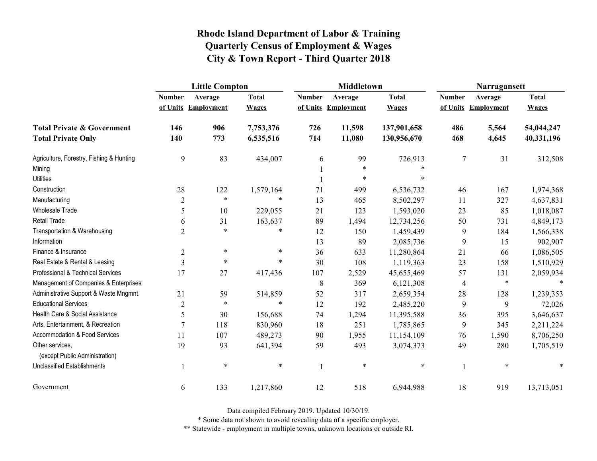|                                                   | <b>Little Compton</b> |                     |              |               | <b>Middletown</b>   |              | Narragansett   |                     |              |
|---------------------------------------------------|-----------------------|---------------------|--------------|---------------|---------------------|--------------|----------------|---------------------|--------------|
|                                                   | <b>Number</b>         | Average             | <b>Total</b> | <b>Number</b> | Average             | <b>Total</b> | <b>Number</b>  | Average             | <b>Total</b> |
|                                                   |                       | of Units Employment | <b>Wages</b> |               | of Units Employment | <b>Wages</b> |                | of Units Employment | <b>Wages</b> |
| <b>Total Private &amp; Government</b>             | 146                   | 906                 | 7,753,376    | 726           | 11,598              | 137,901,658  | 486            | 5,564               | 54,044,247   |
| <b>Total Private Only</b>                         | 140                   | 773                 | 6,535,516    | 714           | 11,080              | 130,956,670  | 468            | 4,645               | 40,331,196   |
| Agriculture, Forestry, Fishing & Hunting          | 9                     | 83                  | 434,007      | 6             | 99                  | 726,913      | $\overline{7}$ | 31                  | 312,508      |
| Mining                                            |                       |                     |              |               | $\ast$              |              |                |                     |              |
| <b>Utilities</b>                                  |                       |                     |              |               | $\ast$              |              |                |                     |              |
| Construction                                      | 28                    | 122                 | 1,579,164    | 71            | 499                 | 6,536,732    | 46             | 167                 | 1,974,368    |
| Manufacturing                                     | $\overline{2}$        | $\ast$              | $\ast$       | 13            | 465                 | 8,502,297    | 11             | 327                 | 4,637,831    |
| <b>Wholesale Trade</b>                            | 5                     | 10                  | 229,055      | 21            | 123                 | 1,593,020    | 23             | 85                  | 1,018,087    |
| <b>Retail Trade</b>                               | 6                     | 31                  | 163,637      | 89            | 1,494               | 12,734,256   | 50             | 731                 | 4,849,173    |
| Transportation & Warehousing                      | $\overline{2}$        | $\ast$              | $\ast$       | 12            | 150                 | 1,459,439    | 9              | 184                 | 1,566,338    |
| Information                                       |                       |                     |              | 13            | 89                  | 2,085,736    | 9              | 15                  | 902,907      |
| Finance & Insurance                               | $\overline{2}$        | $\ast$              | $\ast$       | 36            | 633                 | 11,280,864   | 21             | 66                  | 1,086,505    |
| Real Estate & Rental & Leasing                    | 3                     | $\ast$              | $\ast$       | 30            | 108                 | 1,119,363    | 23             | 158                 | 1,510,929    |
| Professional & Technical Services                 | 17                    | 27                  | 417,436      | 107           | 2,529               | 45,655,469   | 57             | 131                 | 2,059,934    |
| Management of Companies & Enterprises             |                       |                     |              | 8             | 369                 | 6,121,308    | 4              | $\ast$              | $\ast$       |
| Administrative Support & Waste Mngmnt.            | 21                    | 59                  | 514,859      | 52            | 317                 | 2,659,354    | 28             | 128                 | 1,239,353    |
| <b>Educational Services</b>                       | $\overline{c}$        | $\ast$              | $\ast$       | 12            | 192                 | 2,485,220    | 9              | 9                   | 72,026       |
| Health Care & Social Assistance                   | 5                     | 30                  | 156,688      | 74            | 1,294               | 11,395,588   | 36             | 395                 | 3,646,637    |
| Arts, Entertainment, & Recreation                 | $\overline{7}$        | 118                 | 830,960      | 18            | 251                 | 1,785,865    | 9              | 345                 | 2,211,224    |
| Accommodation & Food Services                     | 11                    | 107                 | 489,273      | 90            | 1,955               | 11,154,109   | 76             | 1,590               | 8,706,250    |
| Other services,<br>(except Public Administration) | 19                    | 93                  | 641,394      | 59            | 493                 | 3,074,373    | 49             | 280                 | 1,705,519    |
| <b>Unclassified Establishments</b>                |                       | $\ast$              | $\ast$       | 1             | $\ast$              | $\ast$       |                | $\ast$              | *            |
| Government                                        | 6                     | 133                 | 1,217,860    | 12            | 518                 | 6,944,988    | 18             | 919                 | 13,713,051   |

Data compiled February 2019. Updated 10/30/19.

\* Some data not shown to avoid revealing data of a specific employer.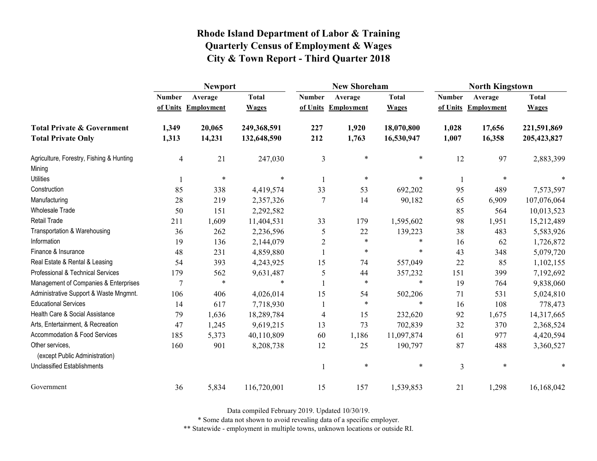|                                                   | <b>Newport</b> |                     |              |                | <b>New Shoreham</b> |              | <b>North Kingstown</b> |                     |              |
|---------------------------------------------------|----------------|---------------------|--------------|----------------|---------------------|--------------|------------------------|---------------------|--------------|
|                                                   | <b>Number</b>  | Average             | <b>Total</b> | <b>Number</b>  | Average             | <b>Total</b> | <b>Number</b>          | Average             | <b>Total</b> |
|                                                   |                | of Units Employment | <b>Wages</b> |                | of Units Employment | <b>Wages</b> |                        | of Units Employment | <b>Wages</b> |
| <b>Total Private &amp; Government</b>             | 1,349          | 20,065              | 249,368,591  | 227            | 1,920               | 18,070,800   | 1,028                  | 17,656              | 221,591,869  |
| <b>Total Private Only</b>                         | 1,313          | 14,231              | 132,648,590  | 212            | 1,763               | 16,530,947   | 1,007                  | 16,358              | 205,423,827  |
| Agriculture, Forestry, Fishing & Hunting          | 4              | 21                  | 247,030      | $\overline{3}$ | $\ast$              | $\ast$       | 12                     | 97                  | 2,883,399    |
| Mining                                            |                |                     |              |                |                     |              |                        |                     |              |
| <b>Utilities</b>                                  |                | $\ast$              | $\ast$       |                | $\ast$              | *            |                        | $\ast$              |              |
| Construction                                      | 85             | 338                 | 4,419,574    | 33             | 53                  | 692,202      | 95                     | 489                 | 7,573,597    |
| Manufacturing                                     | 28             | 219                 | 2,357,326    | $\overline{7}$ | 14                  | 90,182       | 65                     | 6,909               | 107,076,064  |
| Wholesale Trade                                   | 50             | 151                 | 2,292,582    |                |                     |              | 85                     | 564                 | 10,013,523   |
| Retail Trade                                      | 211            | 1,609               | 11,404,531   | 33             | 179                 | 1,595,602    | 98                     | 1,951               | 15,212,489   |
| Transportation & Warehousing                      | 36             | 262                 | 2,236,596    | 5              | 22                  | 139,223      | 38                     | 483                 | 5,583,926    |
| Information                                       | 19             | 136                 | 2,144,079    | $\overline{2}$ | $\ast$              | *            | 16                     | 62                  | 1,726,872    |
| Finance & Insurance                               | 48             | 231                 | 4,859,880    |                | $\ast$              | $\ast$       | 43                     | 348                 | 5,079,720    |
| Real Estate & Rental & Leasing                    | 54             | 393                 | 4,243,925    | 15             | 74                  | 557,049      | 22                     | 85                  | 1,102,155    |
| Professional & Technical Services                 | 179            | 562                 | 9,631,487    | 5              | 44                  | 357,232      | 151                    | 399                 | 7,192,692    |
| Management of Companies & Enterprises             | 7              | $\ast$              | $\ast$       |                | $\ast$              | $\ast$       | 19                     | 764                 | 9,838,060    |
| Administrative Support & Waste Mngmnt.            | 106            | 406                 | 4,026,014    | 15             | 54                  | 502,206      | 71                     | 531                 | 5,024,810    |
| <b>Educational Services</b>                       | 14             | 617                 | 7,718,930    |                | $\ast$              | $\ast$       | 16                     | 108                 | 778,473      |
| Health Care & Social Assistance                   | 79             | 1,636               | 18,289,784   | $\overline{4}$ | 15                  | 232,620      | 92                     | 1,675               | 14,317,665   |
| Arts, Entertainment, & Recreation                 | 47             | 1,245               | 9,619,215    | 13             | 73                  | 702,839      | 32                     | 370                 | 2,368,524    |
| Accommodation & Food Services                     | 185            | 5,373               | 40,110,809   | 60             | 1,186               | 11,097,874   | 61                     | 977                 | 4,420,594    |
| Other services,<br>(except Public Administration) | 160            | 901                 | 8,208,738    | 12             | 25                  | 190,797      | 87                     | 488                 | 3,360,527    |
| <b>Unclassified Establishments</b>                |                |                     |              |                | $\ast$              | $\ast$       | $\overline{3}$         | $\ast$              |              |
| Government                                        | 36             | 5,834               | 116,720,001  | 15             | 157                 | 1,539,853    | 21                     | 1,298               | 16,168,042   |

Data compiled February 2019. Updated 10/30/19.

\* Some data not shown to avoid revealing data of a specific employer.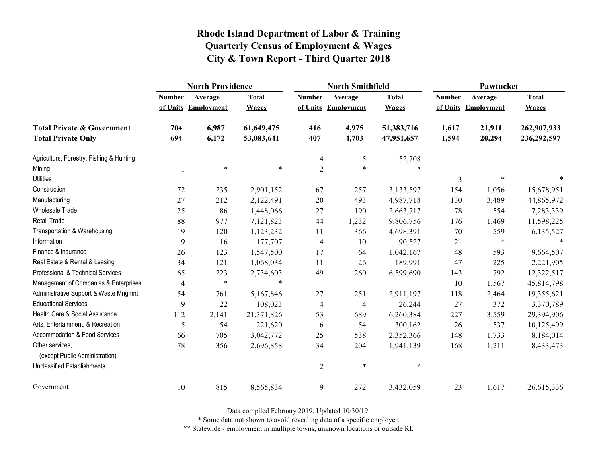|                                                   | <b>North Providence</b> |                     |              |                | <b>North Smithfield</b> |              | Pawtucket     |                     |              |
|---------------------------------------------------|-------------------------|---------------------|--------------|----------------|-------------------------|--------------|---------------|---------------------|--------------|
|                                                   | <b>Number</b>           | Average             | <b>Total</b> | <b>Number</b>  | Average                 | <b>Total</b> | <b>Number</b> | Average             | <b>Total</b> |
|                                                   |                         | of Units Employment | <b>Wages</b> |                | of Units Employment     | <b>Wages</b> |               | of Units Employment | <b>Wages</b> |
| <b>Total Private &amp; Government</b>             | 704                     | 6,987               | 61,649,475   | 416            | 4,975                   | 51,383,716   | 1,617         | 21,911              | 262,907,933  |
| <b>Total Private Only</b>                         | 694                     | 6,172               | 53,083,641   | 407            | 4,703                   | 47,951,657   | 1,594         | 20,294              | 236,292,597  |
| Agriculture, Forestry, Fishing & Hunting          |                         |                     |              | $\overline{4}$ | 5                       | 52,708       |               |                     |              |
| Mining                                            |                         | $\ast$              | $\ast$       | $\overline{2}$ | $\ast$                  | $\ast$       |               |                     |              |
| <b>Utilities</b>                                  |                         |                     |              |                |                         |              | 3             |                     |              |
| Construction                                      | 72                      | 235                 | 2,901,152    | 67             | 257                     | 3,133,597    | 154           | 1,056               | 15,678,951   |
| Manufacturing                                     | 27                      | 212                 | 2,122,491    | 20             | 493                     | 4,987,718    | 130           | 3,489               | 44,865,972   |
| Wholesale Trade                                   | 25                      | 86                  | 1,448,066    | 27             | 190                     | 2,663,717    | 78            | 554                 | 7,283,339    |
| <b>Retail Trade</b>                               | 88                      | 977                 | 7,121,823    | 44             | 1,232                   | 9,806,756    | 176           | 1,469               | 11,598,225   |
| Transportation & Warehousing                      | 19                      | 120                 | 1,123,232    | 11             | 366                     | 4,698,391    | 70            | 559                 | 6,135,527    |
| Information                                       | 9                       | 16                  | 177,707      | 4              | 10                      | 90,527       | 21            | $\ast$              |              |
| Finance & Insurance                               | 26                      | 123                 | 1,547,500    | 17             | 64                      | 1,042,167    | 48            | 593                 | 9,664,507    |
| Real Estate & Rental & Leasing                    | 34                      | 121                 | 1,068,034    | 11             | 26                      | 189,991      | 47            | 225                 | 2,221,905    |
| Professional & Technical Services                 | 65                      | 223                 | 2,734,603    | 49             | 260                     | 6,599,690    | 143           | 792                 | 12,322,517   |
| Management of Companies & Enterprises             | $\overline{4}$          | $\ast$              | $\ast$       |                |                         |              | 10            | 1,567               | 45,814,798   |
| Administrative Support & Waste Mngmnt.            | 54                      | 761                 | 5,167,846    | 27             | 251                     | 2,911,197    | 118           | 2,464               | 19,355,621   |
| <b>Educational Services</b>                       | 9                       | 22                  | 108,023      | 4              | 4                       | 26,244       | 27            | 372                 | 3,370,789    |
| Health Care & Social Assistance                   | 112                     | 2,141               | 21,371,826   | 53             | 689                     | 6,260,384    | 227           | 3,559               | 29,394,906   |
| Arts, Entertainment, & Recreation                 | 5                       | 54                  | 221,620      | 6              | 54                      | 300,162      | 26            | 537                 | 10,125,499   |
| Accommodation & Food Services                     | 66                      | 705                 | 3,042,772    | 25             | 538                     | 2,352,366    | 148           | 1,733               | 8,184,014    |
| Other services,<br>(except Public Administration) | 78                      | 356                 | 2,696,858    | 34             | 204                     | 1,941,139    | 168           | 1,211               | 8,433,473    |
| <b>Unclassified Establishments</b>                |                         |                     |              | $\overline{2}$ | $\ast$                  | $\ast$       |               |                     |              |
|                                                   |                         |                     |              |                |                         |              |               |                     |              |
| Government                                        | 10                      | 815                 | 8,565,834    | 9              | 272                     | 3,432,059    | 23            | 1,617               | 26,615,336   |

Data compiled February 2019. Updated 10/30/19.

\* Some data not shown to avoid revealing data of a specific employer.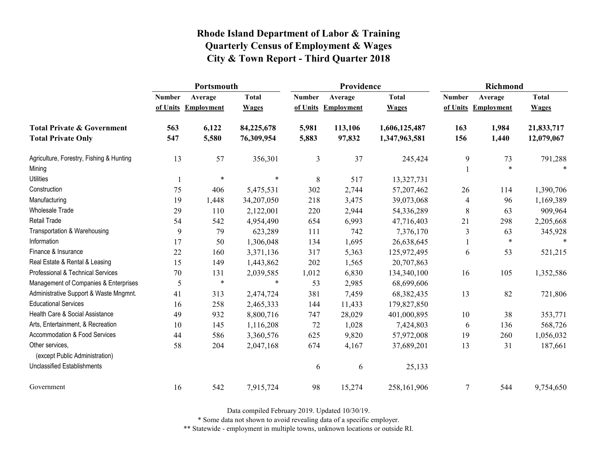|                                          | Portsmouth    |                     |              |               | Providence          |               | <b>Richmond</b> |                     |              |
|------------------------------------------|---------------|---------------------|--------------|---------------|---------------------|---------------|-----------------|---------------------|--------------|
|                                          | <b>Number</b> | Average             | <b>Total</b> | <b>Number</b> | Average             | <b>Total</b>  | <b>Number</b>   | Average             | <b>Total</b> |
|                                          |               | of Units Employment | <b>Wages</b> |               | of Units Employment | <b>Wages</b>  |                 | of Units Employment | <b>Wages</b> |
| <b>Total Private &amp; Government</b>    | 563           | 6,122               | 84,225,678   | 5,981         | 113,106             | 1,606,125,487 | 163             | 1,984               | 21,833,717   |
| <b>Total Private Only</b>                | 547           | 5,580               | 76,309,954   | 5,883         | 97,832              | 1,347,963,581 | 156             | 1,440               | 12,079,067   |
| Agriculture, Forestry, Fishing & Hunting | 13            | 57                  | 356,301      | 3             | 37                  | 245,424       | 9               | 73                  | 791,288      |
| Mining                                   |               |                     |              |               |                     |               |                 | $\ast$              | $\ast$       |
| <b>Utilities</b>                         |               | $\ast$              | $\ast$       | 8             | 517                 | 13,327,731    |                 |                     |              |
| Construction                             | 75            | 406                 | 5,475,531    | 302           | 2,744               | 57,207,462    | 26              | 114                 | 1,390,706    |
| Manufacturing                            | 19            | 1,448               | 34,207,050   | 218           | 3,475               | 39,073,068    | $\overline{4}$  | 96                  | 1,169,389    |
| Wholesale Trade                          | 29            | 110                 | 2,122,001    | 220           | 2,944               | 54,336,289    | $\,8\,$         | 63                  | 909,964      |
| Retail Trade                             | 54            | 542                 | 4,954,490    | 654           | 6,993               | 47,716,403    | 21              | 298                 | 2,205,668    |
| Transportation & Warehousing             | 9             | 79                  | 623,289      | 111           | 742                 | 7,376,170     | 3               | 63                  | 345,928      |
| Information                              | 17            | 50                  | 1,306,048    | 134           | 1,695               | 26,638,645    |                 | $\ast$              | $\ast$       |
| Finance & Insurance                      | 22            | 160                 | 3,371,136    | 317           | 5,363               | 125,972,495   | 6               | 53                  | 521,215      |
| Real Estate & Rental & Leasing           | 15            | 149                 | 1,443,862    | 202           | 1,565               | 20,707,863    |                 |                     |              |
| Professional & Technical Services        | $70\,$        | 131                 | 2,039,585    | 1,012         | 6,830               | 134,340,100   | 16              | 105                 | 1,352,586    |
| Management of Companies & Enterprises    | 5             | $\ast$              | $\ast$       | 53            | 2,985               | 68,699,606    |                 |                     |              |
| Administrative Support & Waste Mngmnt.   | 41            | 313                 | 2,474,724    | 381           | 7,459               | 68, 382, 435  | 13              | 82                  | 721,806      |
| <b>Educational Services</b>              | 16            | 258                 | 2,465,333    | 144           | 11,433              | 179,827,850   |                 |                     |              |
| Health Care & Social Assistance          | 49            | 932                 | 8,800,716    | 747           | 28,029              | 401,000,895   | 10              | 38                  | 353,771      |
| Arts, Entertainment, & Recreation        | 10            | 145                 | 1,116,208    | 72            | 1,028               | 7,424,803     | 6               | 136                 | 568,726      |
| Accommodation & Food Services            | 44            | 586                 | 3,360,576    | 625           | 9,820               | 57,972,008    | 19              | 260                 | 1,056,032    |
| Other services,                          | 58            | 204                 | 2,047,168    | 674           | 4,167               | 37,689,201    | 13              | 31                  | 187,661      |
| (except Public Administration)           |               |                     |              |               |                     |               |                 |                     |              |
| <b>Unclassified Establishments</b>       |               |                     |              | 6             | 6                   | 25,133        |                 |                     |              |
| Government                               | 16            | 542                 | 7,915,724    | 98            | 15,274              | 258,161,906   | $\overline{7}$  | 544                 | 9,754,650    |

Data compiled February 2019. Updated 10/30/19.

\* Some data not shown to avoid revealing data of a specific employer.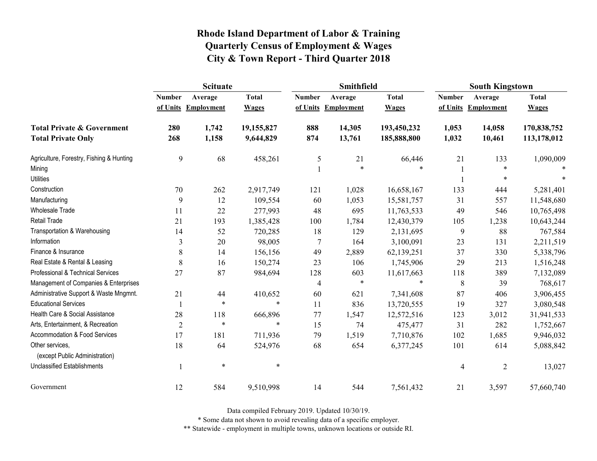|                                                   | <b>Scituate</b> |                     |              |                | <b>Smithfield</b>   |              | <b>South Kingstown</b> |                     |              |
|---------------------------------------------------|-----------------|---------------------|--------------|----------------|---------------------|--------------|------------------------|---------------------|--------------|
|                                                   | <b>Number</b>   | Average             | <b>Total</b> | <b>Number</b>  | Average             | <b>Total</b> | <b>Number</b>          | Average             | <b>Total</b> |
|                                                   |                 | of Units Employment | <b>Wages</b> |                | of Units Employment | <b>Wages</b> |                        | of Units Employment | <b>Wages</b> |
| <b>Total Private &amp; Government</b>             | 280             | 1,742               | 19,155,827   | 888            | 14,305              | 193,450,232  | 1,053                  | 14,058              | 170,838,752  |
| <b>Total Private Only</b>                         | 268             | 1,158               | 9,644,829    | 874            | 13,761              | 185,888,800  | 1,032                  | 10,461              | 113,178,012  |
| Agriculture, Forestry, Fishing & Hunting          | 9               | 68                  | 458,261      | 5              | 21                  | 66,446       | 21                     | 133                 | 1,090,009    |
| Mining                                            |                 |                     |              |                | $\ast$              | $\ast$       |                        | *                   |              |
| <b>Utilities</b>                                  |                 |                     |              |                |                     |              |                        | $\ast$              |              |
| Construction                                      | 70              | 262                 | 2,917,749    | 121            | 1,028               | 16,658,167   | 133                    | 444                 | 5,281,401    |
| Manufacturing                                     | 9               | 12                  | 109,554      | 60             | 1,053               | 15,581,757   | 31                     | 557                 | 11,548,680   |
| <b>Wholesale Trade</b>                            | 11              | 22                  | 277,993      | 48             | 695                 | 11,763,533   | 49                     | 546                 | 10,765,498   |
| Retail Trade                                      | 21              | 193                 | 1,385,428    | 100            | 1,784               | 12,430,379   | 105                    | 1,238               | 10,643,244   |
| Transportation & Warehousing                      | 14              | 52                  | 720,285      | 18             | 129                 | 2,131,695    | 9                      | 88                  | 767,584      |
| Information                                       | $\mathfrak{Z}$  | 20                  | 98,005       | 7              | 164                 | 3,100,091    | 23                     | 131                 | 2,211,519    |
| Finance & Insurance                               | 8               | 14                  | 156,156      | 49             | 2,889               | 62,139,251   | 37                     | 330                 | 5,338,796    |
| Real Estate & Rental & Leasing                    | 8               | 16                  | 150,274      | 23             | 106                 | 1,745,906    | 29                     | 213                 | 1,516,248    |
| Professional & Technical Services                 | 27              | 87                  | 984,694      | 128            | 603                 | 11,617,663   | 118                    | 389                 | 7,132,089    |
| Management of Companies & Enterprises             |                 |                     |              | $\overline{4}$ | $\ast$              | $\ast$       | $\,$ $\,$              | 39                  | 768,617      |
| Administrative Support & Waste Mngmnt.            | 21              | 44                  | 410,652      | 60             | 621                 | 7,341,608    | 87                     | 406                 | 3,906,455    |
| <b>Educational Services</b>                       |                 | $\ast$              | $\ast$       | 11             | 836                 | 13,720,555   | 19                     | 327                 | 3,080,548    |
| Health Care & Social Assistance                   | 28              | 118                 | 666,896      | 77             | 1,547               | 12,572,516   | 123                    | 3,012               | 31,941,533   |
| Arts, Entertainment, & Recreation                 | $\overline{2}$  | $\ast$              | $\ast$       | 15             | 74                  | 475,477      | 31                     | 282                 | 1,752,667    |
| Accommodation & Food Services                     | 17              | 181                 | 711,936      | 79             | 1,519               | 7,710,876    | 102                    | 1,685               | 9,946,032    |
| Other services,<br>(except Public Administration) | 18              | 64                  | 524,976      | 68             | 654                 | 6,377,245    | 101                    | 614                 | 5,088,842    |
| Unclassified Establishments                       |                 | $\ast$              | $\ast$       |                |                     |              | $\overline{4}$         | $\overline{2}$      | 13,027       |
| Government                                        | 12              | 584                 | 9,510,998    | 14             | 544                 | 7,561,432    | 21                     | 3,597               | 57,660,740   |

Data compiled February 2019. Updated 10/30/19.

\* Some data not shown to avoid revealing data of a specific employer.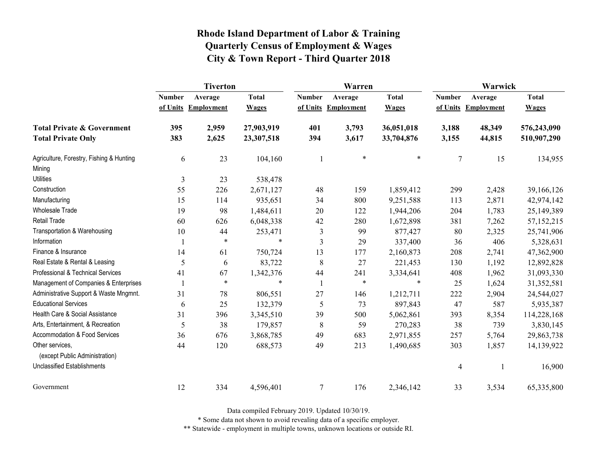|                                                   | <b>Tiverton</b> |                     |              |                | Warren              |              | Warwick       |                     |              |
|---------------------------------------------------|-----------------|---------------------|--------------|----------------|---------------------|--------------|---------------|---------------------|--------------|
|                                                   | <b>Number</b>   | Average             | <b>Total</b> | <b>Number</b>  | Average             | <b>Total</b> | <b>Number</b> | Average             | <b>Total</b> |
|                                                   |                 | of Units Employment | <b>Wages</b> |                | of Units Employment | <b>Wages</b> |               | of Units Employment | <b>Wages</b> |
| <b>Total Private &amp; Government</b>             | 395             | 2,959               | 27,903,919   | 401            | 3,793               | 36,051,018   | 3,188         | 48,349              | 576,243,090  |
| <b>Total Private Only</b>                         | 383             | 2,625               | 23,307,518   | 394            | 3,617               | 33,704,876   | 3,155         | 44,815              | 510,907,290  |
| Agriculture, Forestry, Fishing & Hunting          | 6               | 23                  | 104,160      | 1              | $\ast$              | $\ast$       | 7             | 15                  | 134,955      |
| Mining                                            |                 |                     |              |                |                     |              |               |                     |              |
| <b>Utilities</b>                                  | 3               | 23                  | 538,478      |                |                     |              |               |                     |              |
| Construction                                      | 55              | 226                 | 2,671,127    | 48             | 159                 | 1,859,412    | 299           | 2,428               | 39,166,126   |
| Manufacturing                                     | 15              | 114                 | 935,651      | 34             | 800                 | 9,251,588    | 113           | 2,871               | 42,974,142   |
| Wholesale Trade                                   | 19              | 98                  | 1,484,611    | 20             | 122                 | 1,944,206    | 204           | 1,783               | 25,149,389   |
| <b>Retail Trade</b>                               | 60              | 626                 | 6,048,338    | 42             | 280                 | 1,672,898    | 381           | 7,262               | 57,152,215   |
| Transportation & Warehousing                      | 10              | 44                  | 253,471      | $\mathfrak{Z}$ | 99                  | 877,427      | 80            | 2,325               | 25,741,906   |
| Information                                       |                 | $\ast$              | $\ast$       | $\mathfrak{Z}$ | 29                  | 337,400      | 36            | 406                 | 5,328,631    |
| Finance & Insurance                               | 14              | 61                  | 750,724      | 13             | 177                 | 2,160,873    | 208           | 2,741               | 47,362,900   |
| Real Estate & Rental & Leasing                    | 5               | 6                   | 83,722       | 8              | 27                  | 221,453      | 130           | 1,192               | 12,892,828   |
| Professional & Technical Services                 | 41              | 67                  | 1,342,376    | 44             | 241                 | 3,334,641    | 408           | 1,962               | 31,093,330   |
| Management of Companies & Enterprises             |                 | $\ast$              | $\ast$       | $\mathbf{1}$   | $\ast$              | $\ast$       | 25            | 1,624               | 31,352,581   |
| Administrative Support & Waste Mngmnt.            | 31              | 78                  | 806,551      | 27             | 146                 | 1,212,711    | 222           | 2,904               | 24,544,027   |
| <b>Educational Services</b>                       | 6               | 25                  | 132,379      | 5              | 73                  | 897,843      | 47            | 587                 | 5,935,387    |
| Health Care & Social Assistance                   | 31              | 396                 | 3,345,510    | 39             | 500                 | 5,062,861    | 393           | 8,354               | 114,228,168  |
| Arts, Entertainment, & Recreation                 | 5               | 38                  | 179,857      | 8              | 59                  | 270,283      | 38            | 739                 | 3,830,145    |
| <b>Accommodation &amp; Food Services</b>          | 36              | 676                 | 3,868,785    | 49             | 683                 | 2,971,855    | 257           | 5,764               | 29,863,738   |
| Other services,<br>(except Public Administration) | 44              | 120                 | 688,573      | 49             | 213                 | 1,490,685    | 303           | 1,857               | 14,139,922   |
| <b>Unclassified Establishments</b>                |                 |                     |              |                |                     |              | 4             |                     | 16,900       |
| Government                                        | 12              | 334                 | 4,596,401    | $\tau$         | 176                 | 2,346,142    | 33            | 3,534               | 65,335,800   |

Data compiled February 2019. Updated 10/30/19.

\* Some data not shown to avoid revealing data of a specific employer.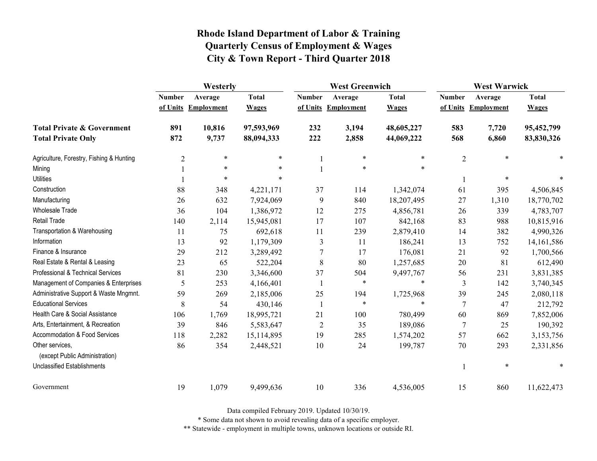|                                                   | Westerly       |                     |              | <b>West Greenwich</b> |                     |              | <b>West Warwick</b> |                     |              |
|---------------------------------------------------|----------------|---------------------|--------------|-----------------------|---------------------|--------------|---------------------|---------------------|--------------|
|                                                   | <b>Number</b>  | Average             | <b>Total</b> | <b>Number</b>         | Average             | <b>Total</b> | <b>Number</b>       | Average             | <b>Total</b> |
|                                                   |                | of Units Employment | <b>Wages</b> |                       | of Units Employment | <b>Wages</b> |                     | of Units Employment | <b>Wages</b> |
| <b>Total Private &amp; Government</b>             | 891            | 10,816              | 97,593,969   | 232                   | 3,194               | 48,605,227   | 583                 | 7,720               | 95,452,799   |
| <b>Total Private Only</b>                         | 872            | 9,737               | 88,094,333   | 222                   | 2,858               | 44,069,222   | 568                 | 6,860               | 83,830,326   |
| Agriculture, Forestry, Fishing & Hunting          | $\overline{c}$ | $\ast$              | $\ast$       |                       | $\ast$              | $\ast$       | $\overline{2}$      | $\ast$              |              |
| Mining                                            |                | $\ast$              | $\ast$       |                       | $\ast$              | $\ast$       |                     |                     |              |
| <b>Utilities</b>                                  |                | $\ast$              | $\ast$       |                       |                     |              |                     | $\ast$              |              |
| Construction                                      | 88             | 348                 | 4,221,171    | 37                    | 114                 | 1,342,074    | 61                  | 395                 | 4,506,845    |
| Manufacturing                                     | 26             | 632                 | 7,924,069    | 9                     | 840                 | 18,207,495   | 27                  | 1,310               | 18,770,702   |
| Wholesale Trade                                   | 36             | 104                 | 1,386,972    | 12                    | 275                 | 4,856,781    | 26                  | 339                 | 4,783,707    |
| <b>Retail Trade</b>                               | 140            | 2,114               | 15,945,081   | 17                    | 107                 | 842,168      | 83                  | 988                 | 10,815,916   |
| Transportation & Warehousing                      | 11             | 75                  | 692,618      | 11                    | 239                 | 2,879,410    | 14                  | 382                 | 4,990,326    |
| Information                                       | 13             | 92                  | 1,179,309    | 3                     | 11                  | 186,241      | 13                  | 752                 | 14, 161, 586 |
| Finance & Insurance                               | 29             | 212                 | 3,289,492    | 7                     | 17                  | 176,081      | 21                  | 92                  | 1,700,566    |
| Real Estate & Rental & Leasing                    | 23             | 65                  | 522,204      | 8                     | 80                  | 1,257,685    | 20                  | 81                  | 612,490      |
| Professional & Technical Services                 | 81             | 230                 | 3,346,600    | 37                    | 504                 | 9,497,767    | 56                  | 231                 | 3,831,385    |
| Management of Companies & Enterprises             | 5              | 253                 | 4,166,401    | $\mathbf{1}$          | $\ast$              | $\ast$       | 3                   | 142                 | 3,740,345    |
| Administrative Support & Waste Mngmnt.            | 59             | 269                 | 2,185,006    | 25                    | 194                 | 1,725,968    | 39                  | 245                 | 2,080,118    |
| <b>Educational Services</b>                       | 8              | 54                  | 430,146      | -1                    | $\ast$              | $\ast$       | 7                   | 47                  | 212,792      |
| Health Care & Social Assistance                   | 106            | 1,769               | 18,995,721   | 21                    | 100                 | 780,499      | 60                  | 869                 | 7,852,006    |
| Arts, Entertainment, & Recreation                 | 39             | 846                 | 5,583,647    | $\overline{2}$        | 35                  | 189,086      | 7                   | 25                  | 190,392      |
| <b>Accommodation &amp; Food Services</b>          | 118            | 2,282               | 15,114,895   | 19                    | 285                 | 1,574,202    | 57                  | 662                 | 3,153,756    |
| Other services,<br>(except Public Administration) | 86             | 354                 | 2,448,521    | 10                    | 24                  | 199,787      | 70                  | 293                 | 2,331,856    |
| <b>Unclassified Establishments</b>                |                |                     |              |                       |                     |              |                     | $\ast$              | *            |
| Government                                        | 19             | 1,079               | 9,499,636    | 10                    | 336                 | 4,536,005    | 15                  | 860                 | 11,622,473   |

Data compiled February 2019. Updated 10/30/19.

\* Some data not shown to avoid revealing data of a specific employer.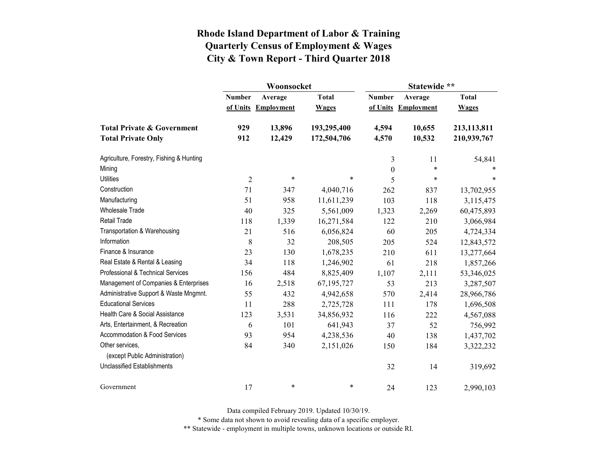|                                          |                | Woonsocket        |              | Statewide **     |                   |              |  |
|------------------------------------------|----------------|-------------------|--------------|------------------|-------------------|--------------|--|
|                                          | <b>Number</b>  | Average           | <b>Total</b> | <b>Number</b>    | Average           | <b>Total</b> |  |
|                                          | of Units       | <b>Employment</b> | <b>Wages</b> | of Units         | <b>Employment</b> | <b>Wages</b> |  |
| <b>Total Private &amp; Government</b>    | 929            | 13,896            | 193,295,400  | 4,594            | 10,655            | 213,113,811  |  |
| <b>Total Private Only</b>                | 912            | 12,429            | 172,504,706  | 4,570            | 10,532            | 210,939,767  |  |
| Agriculture, Forestry, Fishing & Hunting |                |                   |              | 3                | 11                | 54,841       |  |
| Mining                                   |                |                   |              | $\boldsymbol{0}$ | $\ast$            |              |  |
| <b>Utilities</b>                         | $\overline{2}$ | $\ast$            | $\ast$       | 5                | $\ast$            | $\ast$       |  |
| Construction                             | 71             | 347               | 4,040,716    | 262              | 837               | 13,702,955   |  |
| Manufacturing                            | 51             | 958               | 11,611,239   | 103              | 118               | 3,115,475    |  |
| <b>Wholesale Trade</b>                   | 40             | 325               | 5,561,009    | 1,323            | 2,269             | 60,475,893   |  |
| <b>Retail Trade</b>                      | 118            | 1,339             | 16,271,584   | 122              | 210               | 3,066,984    |  |
| Transportation & Warehousing             | 21             | 516               | 6,056,824    | 60               | 205               | 4,724,334    |  |
| Information                              | 8              | 32                | 208,505      | 205              | 524               | 12,843,572   |  |
| Finance & Insurance                      | 23             | 130               | 1,678,235    | 210              | 611               | 13,277,664   |  |
| Real Estate & Rental & Leasing           | 34             | 118               | 1,246,902    | 61               | 218               | 1,857,266    |  |
| Professional & Technical Services        | 156            | 484               | 8,825,409    | 1,107            | 2,111             | 53,346,025   |  |
| Management of Companies & Enterprises    | 16             | 2,518             | 67,195,727   | 53               | 213               | 3,287,507    |  |
| Administrative Support & Waste Mngmnt.   | 55             | 432               | 4,942,658    | 570              | 2,414             | 28,966,786   |  |
| <b>Educational Services</b>              | 11             | 288               | 2,725,728    | 111              | 178               | 1,696,508    |  |
| Health Care & Social Assistance          | 123            | 3,531             | 34,856,932   | 116              | 222               | 4,567,088    |  |
| Arts, Entertainment, & Recreation        | 6              | 101               | 641,943      | 37               | 52                | 756,992      |  |
| Accommodation & Food Services            | 93             | 954               | 4,238,536    | 40               | 138               | 1,437,702    |  |
| Other services,                          | 84             | 340               | 2,151,026    | 150              | 184               | 3,322,232    |  |
| (except Public Administration)           |                |                   |              |                  |                   |              |  |
| <b>Unclassified Establishments</b>       |                |                   |              | 32               | 14                | 319,692      |  |
| Government                               | 17             | *                 | $\ast$       | 24               | 123               | 2,990,103    |  |

Data compiled February 2019. Updated 10/30/19.

\* Some data not shown to avoid revealing data of a specific employer.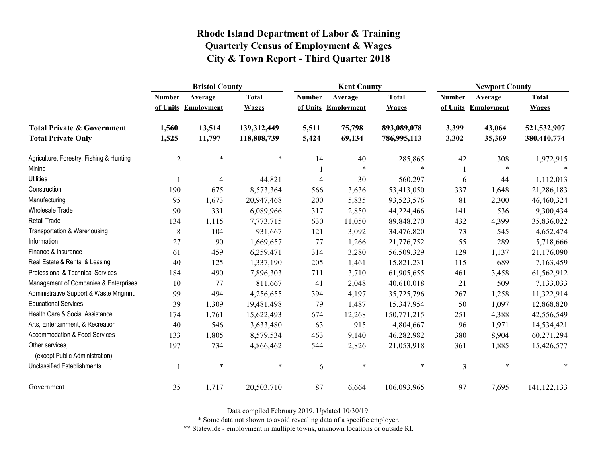|                                                   | <b>Bristol County</b>    |                   |              |               | <b>Kent County</b> |              |               | <b>Newport County</b> |               |  |
|---------------------------------------------------|--------------------------|-------------------|--------------|---------------|--------------------|--------------|---------------|-----------------------|---------------|--|
|                                                   | <b>Number</b>            | Average           | <b>Total</b> | <b>Number</b> | Average            | <b>Total</b> | <b>Number</b> | Average               | <b>Total</b>  |  |
|                                                   | of Units                 | <b>Employment</b> | <b>Wages</b> | of Units      | Employment         | <b>Wages</b> | of Units      | <b>Employment</b>     | <b>Wages</b>  |  |
| <b>Total Private &amp; Government</b>             | 1,560                    | 13,514            | 139,312,449  | 5,511         | 75,798             | 893,089,078  | 3,399         | 43,064                | 521,532,907   |  |
| <b>Total Private Only</b>                         | 1,525                    | 11,797            | 118,808,739  | 5,424         | 69,134             | 786,995,113  | 3,302         | 35,369                | 380,410,774   |  |
| Agriculture, Forestry, Fishing & Hunting          | $\overline{2}$           | $\ast$            | $\ast$       | 14            | 40                 | 285,865      | 42            | 308                   | 1,972,915     |  |
| Mining                                            |                          |                   |              |               | $\ast$             | $\ast$       |               | $\ast$                |               |  |
| <b>Utilities</b>                                  |                          | 4                 | 44,821       | 4             | 30                 | 560,297      | 6             | 44                    | 1,112,013     |  |
| Construction                                      | 190                      | 675               | 8,573,364    | 566           | 3,636              | 53,413,050   | 337           | 1,648                 | 21,286,183    |  |
| Manufacturing                                     | 95                       | 1,673             | 20,947,468   | 200           | 5,835              | 93,523,576   | 81            | 2,300                 | 46,460,324    |  |
| Wholesale Trade                                   | 90                       | 331               | 6,089,966    | 317           | 2,850              | 44,224,466   | 141           | 536                   | 9,300,434     |  |
| <b>Retail Trade</b>                               | 134                      | 1,115             | 7,773,715    | 630           | 11,050             | 89,848,270   | 432           | 4,399                 | 35,836,022    |  |
| Transportation & Warehousing                      | 8                        | 104               | 931,667      | 121           | 3,092              | 34,476,820   | 73            | 545                   | 4,652,474     |  |
| Information                                       | 27                       | 90                | 1,669,657    | 77            | 1,266              | 21,776,752   | 55            | 289                   | 5,718,666     |  |
| Finance & Insurance                               | 61                       | 459               | 6,259,471    | 314           | 3,280              | 56,509,329   | 129           | 1,137                 | 21,176,090    |  |
| Real Estate & Rental & Leasing                    | 40                       | 125               | 1,337,190    | 205           | 1,461              | 15,821,231   | 115           | 689                   | 7,163,459     |  |
| Professional & Technical Services                 | 184                      | 490               | 7,896,303    | 711           | 3,710              | 61,905,655   | 461           | 3,458                 | 61,562,912    |  |
| Management of Companies & Enterprises             | 10                       | 77                | 811,667      | 41            | 2,048              | 40,610,018   | 21            | 509                   | 7,133,033     |  |
| Administrative Support & Waste Mngmnt.            | 99                       | 494               | 4,256,655    | 394           | 4,197              | 35,725,796   | 267           | 1,258                 | 11,322,914    |  |
| <b>Educational Services</b>                       | 39                       | 1,309             | 19,481,498   | 79            | 1,487              | 15,347,954   | 50            | 1,097                 | 12,868,820    |  |
| Health Care & Social Assistance                   | 174                      | 1,761             | 15,622,493   | 674           | 12,268             | 150,771,215  | 251           | 4,388                 | 42,556,549    |  |
| Arts, Entertainment, & Recreation                 | 40                       | 546               | 3,633,480    | 63            | 915                | 4,804,667    | 96            | 1,971                 | 14,534,421    |  |
| Accommodation & Food Services                     | 133                      | 1,805             | 8,579,534    | 463           | 9,140              | 46,282,982   | 380           | 8,904                 | 60,271,294    |  |
| Other services,<br>(except Public Administration) | 197                      | 734               | 4,866,462    | 544           | 2,826              | 21,053,918   | 361           | 1,885                 | 15,426,577    |  |
| <b>Unclassified Establishments</b>                | $\overline{\phantom{a}}$ | $\ast$            | $\ast$       | 6             | $\ast$             | $\ast$       | 3             | $\ast$                | $\ast$        |  |
| Government                                        | 35                       | 1,717             | 20,503,710   | 87            | 6,664              | 106,093,965  | 97            | 7,695                 | 141, 122, 133 |  |

Data compiled February 2019. Updated 10/30/19.

\* Some data not shown to avoid revealing data of a specific employer.